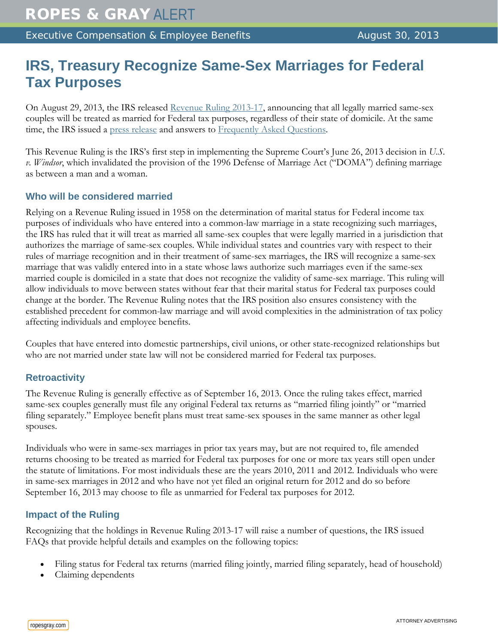# **IRS, Treasury Recognize Same-Sex Marriages for Federal Tax Purposes**

On August 29, 2013, the IRS released [Revenue Ruling 2013-17,](http://www.irs.gov/pub/irs-drop/rr-13-17.pdf) announcing that all legally married same-sex couples will be treated as married for Federal tax purposes, regardless of their state of domicile. At the same time, the IRS issued a [press release](http://www.irs.gov/uac/Newsroom/Treasury-and-IRS-Announce-That-All-Legal-Same-Sex-Marriages-Will-Be-Recognized-For-Federal-Tax-Purposes;-Ruling-Provides-Certainty,-Benefits-and-Protections-Under-Federal-Tax-Law-for-Same-Sex-Married-Couples) and answers to [Frequently Asked Questions.](http://www.ropesgray.com/~/media/files/alerts/2013/08/faqs_same_sex_spouses_8_29_2013.pdf)

This Revenue Ruling is the IRS's first step in implementing the Supreme Court's June 26, 2013 decision in *U.S. v. Windsor*, which invalidated the provision of the 1996 Defense of Marriage Act ("DOMA") defining marriage as between a man and a woman.

### **Who will be considered married**

Relying on a Revenue Ruling issued in 1958 on the determination of marital status for Federal income tax purposes of individuals who have entered into a common-law marriage in a state recognizing such marriages, the IRS has ruled that it will treat as married all same-sex couples that were legally married in a jurisdiction that authorizes the marriage of same-sex couples. While individual states and countries vary with respect to their rules of marriage recognition and in their treatment of same-sex marriages, the IRS will recognize a same-sex marriage that was validly entered into in a state whose laws authorize such marriages even if the same-sex married couple is domiciled in a state that does not recognize the validity of same-sex marriage. This ruling will allow individuals to move between states without fear that their marital status for Federal tax purposes could change at the border. The Revenue Ruling notes that the IRS position also ensures consistency with the established precedent for common-law marriage and will avoid complexities in the administration of tax policy affecting individuals and employee benefits.

Couples that have entered into domestic partnerships, civil unions, or other state-recognized relationships but who are not married under state law will not be considered married for Federal tax purposes.

#### **Retroactivity**

The Revenue Ruling is generally effective as of September 16, 2013. Once the ruling takes effect, married same-sex couples generally must file any original Federal tax returns as "married filing jointly" or "married filing separately." Employee benefit plans must treat same-sex spouses in the same manner as other legal spouses.

Individuals who were in same-sex marriages in prior tax years may, but are not required to, file amended returns choosing to be treated as married for Federal tax purposes for one or more tax years still open under the statute of limitations. For most individuals these are the years 2010, 2011 and 2012. Individuals who were in same-sex marriages in 2012 and who have not yet filed an original return for 2012 and do so before September 16, 2013 may choose to file as unmarried for Federal tax purposes for 2012.

#### **Impact of the Ruling**

Recognizing that the holdings in Revenue Ruling 2013-17 will raise a number of questions, the IRS issued FAQs that provide helpful details and examples on the following topics:

- Filing status for Federal tax returns (married filing jointly, married filing separately, head of household)
- Claiming dependents